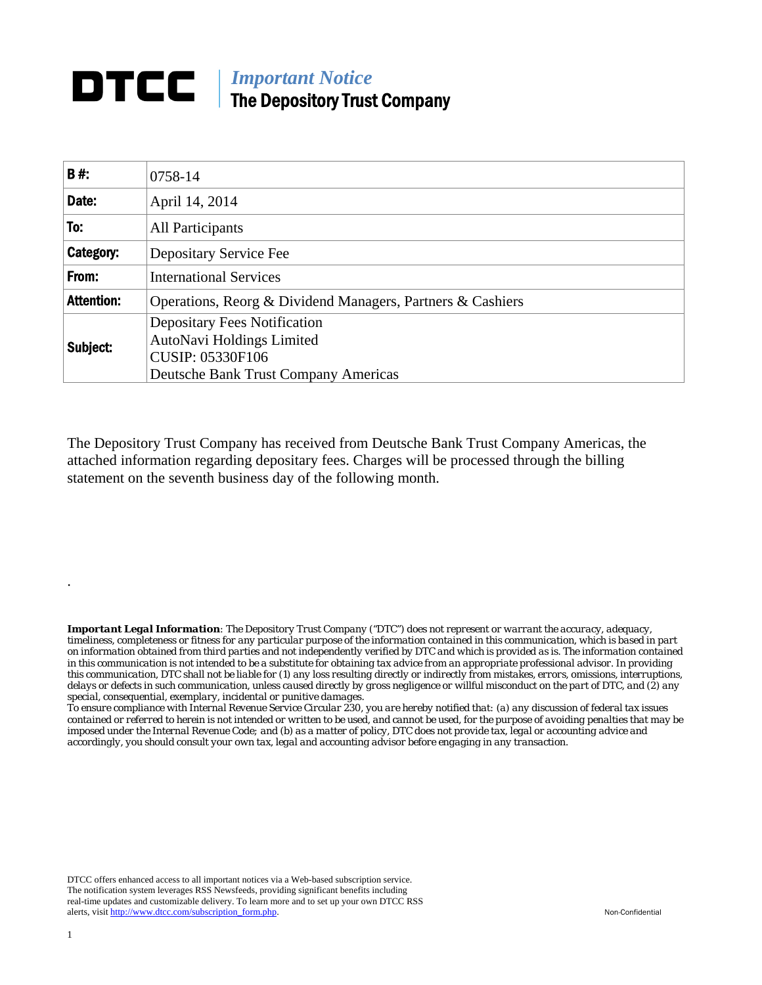## **DTCC** | *Important Notice* The Depository Trust Company

| <b>B#:</b>        | 0758-14                                                                                                                             |  |  |  |  |  |  |
|-------------------|-------------------------------------------------------------------------------------------------------------------------------------|--|--|--|--|--|--|
| Date:             | April 14, 2014                                                                                                                      |  |  |  |  |  |  |
| To:               | <b>All Participants</b>                                                                                                             |  |  |  |  |  |  |
| Category:         | Depositary Service Fee                                                                                                              |  |  |  |  |  |  |
| From:             | <b>International Services</b>                                                                                                       |  |  |  |  |  |  |
| <b>Attention:</b> | Operations, Reorg & Dividend Managers, Partners & Cashiers                                                                          |  |  |  |  |  |  |
| Subject:          | <b>Depositary Fees Notification</b><br>AutoNavi Holdings Limited<br><b>CUSIP: 05330F106</b><br>Deutsche Bank Trust Company Americas |  |  |  |  |  |  |

The Depository Trust Company has received from Deutsche Bank Trust Company Americas, the attached information regarding depositary fees. Charges will be processed through the billing statement on the seventh business day of the following month.

*Important Legal Information: The Depository Trust Company ("DTC") does not represent or warrant the accuracy, adequacy, timeliness, completeness or fitness for any particular purpose of the information contained in this communication, which is based in part on information obtained from third parties and not independently verified by DTC and which is provided as is. The information contained in this communication is not intended to be a substitute for obtaining tax advice from an appropriate professional advisor. In providing this communication, DTC shall not be liable for (1) any loss resulting directly or indirectly from mistakes, errors, omissions, interruptions, delays or defects in such communication, unless caused directly by gross negligence or willful misconduct on the part of DTC, and (2) any special, consequential, exemplary, incidental or punitive damages.* 

*To ensure compliance with Internal Revenue Service Circular 230, you are hereby notified that: (a) any discussion of federal tax issues contained or referred to herein is not intended or written to be used, and cannot be used, for the purpose of avoiding penalties that may be imposed under the Internal Revenue Code; and (b) as a matter of policy, DTC does not provide tax, legal or accounting advice and accordingly, you should consult your own tax, legal and accounting advisor before engaging in any transaction.*

DTCC offers enhanced access to all important notices via a Web-based subscription service. The notification system leverages RSS Newsfeeds, providing significant benefits including real-time updates and customizable delivery. To learn more and to set up your own DTCC RSS alerts, visit http://www.dtcc.com/subscription\_form.php. Non-Confidential

.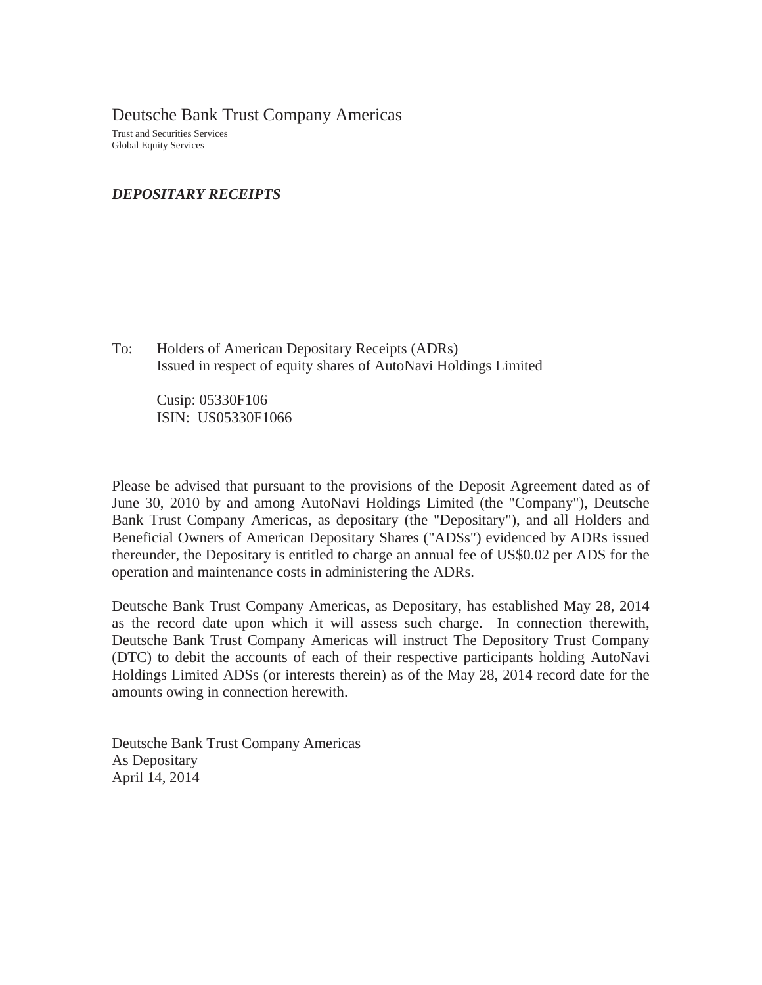Deutsche Bank Trust Company Americas Trust and Securities Services Global Equity Services

## *DEPOSITARY RECEIPTS*

To: Holders of American Depositary Receipts (ADRs) Issued in respect of equity shares of AutoNavi Holdings Limited

> Cusip: 05330F106 ISIN: US05330F1066

Please be advised that pursuant to the provisions of the Deposit Agreement dated as of June 30, 2010 by and among AutoNavi Holdings Limited (the "Company"), Deutsche Bank Trust Company Americas, as depositary (the "Depositary"), and all Holders and Beneficial Owners of American Depositary Shares ("ADSs") evidenced by ADRs issued thereunder, the Depositary is entitled to charge an annual fee of US\$0.02 per ADS for the operation and maintenance costs in administering the ADRs.

Deutsche Bank Trust Company Americas, as Depositary, has established May 28, 2014 as the record date upon which it will assess such charge. In connection therewith, Deutsche Bank Trust Company Americas will instruct The Depository Trust Company (DTC) to debit the accounts of each of their respective participants holding AutoNavi Holdings Limited ADSs (or interests therein) as of the May 28, 2014 record date for the amounts owing in connection herewith.

Deutsche Bank Trust Company Americas As Depositary April 14, 2014